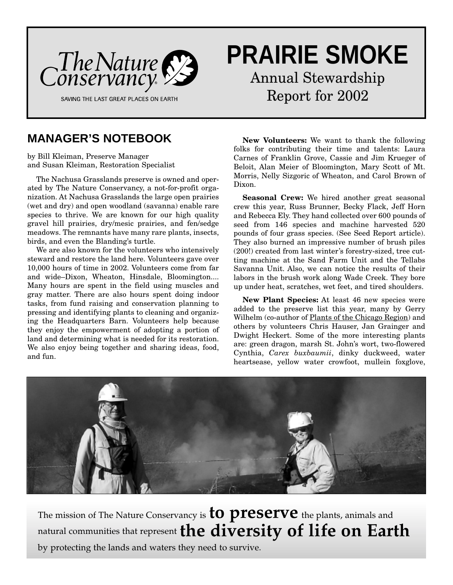

# **PRAIRIE SMOKE**

Annual Stewardship Report for 2002

# **MANAGER'S NOTEBOOK**

by Bill Kleiman, Preserve Manager and Susan Kleiman, Restoration Specialist

The Nachusa Grasslands preserve is owned and operated by The Nature Conservancy, a not-for-profit organization. At Nachusa Grasslands the large open prairies (wet and dry) and open woodland (savanna) enable rare species to thrive. We are known for our high quality gravel hill prairies, dry/mesic prairies, and fen/sedge meadows. The remnants have many rare plants, insects, birds, and even the Blanding's turtle.

We are also known for the volunteers who intensively steward and restore the land here. Volunteers gave over 10,000 hours of time in 2002. Volunteers come from far and wide–Dixon, Wheaton, Hinsdale, Bloomington.... Many hours are spent in the field using muscles and gray matter. There are also hours spent doing indoor tasks, from fund raising and conservation planning to pressing and identifying plants to cleaning and organizing the Headquarters Barn. Volunteers help because they enjoy the empowerment of adopting a portion of land and determining what is needed for its restoration. We also enjoy being together and sharing ideas, food, and fun.

**New Volunteers:** We want to thank the following folks for contributing their time and talents: Laura Carnes of Franklin Grove, Cassie and Jim Krueger of Beloit, Alan Meier of Bloomington, Mary Scott of Mt. Morris, Nelly Sizgoric of Wheaton, and Carol Brown of Dixon.

**Seasonal Crew:** We hired another great seasonal crew this year, Russ Brunner, Becky Flack, Jeff Horn and Rebecca Ely. They hand collected over 600 pounds of seed from 146 species and machine harvested 520 pounds of four grass species. (See Seed Report article). They also burned an impressive number of brush piles (200!) created from last winter's forestry-sized, tree cutting machine at the Sand Farm Unit and the Tellabs Savanna Unit. Also, we can notice the results of their labors in the brush work along Wade Creek. They bore up under heat, scratches, wet feet, and tired shoulders.

**New Plant Species:** At least 46 new species were added to the preserve list this year, many by Gerry Wilhelm (co-author of Plants of the Chicago Region) and others by volunteers Chris Hauser, Jan Grainger and Dwight Heckert. Some of the more interesting plants are: green dragon, marsh St. John's wort, two-flowered Cynthia, *Carex buxbaumii*, dinky duckweed, water heartsease, yellow water crowfoot, mullein foxglove,



The mission of The Nature Conservancy is **to preserve** the plants, animals and natural communities that represent**the diversity of life on Earth** by protecting the lands and waters they need to survive.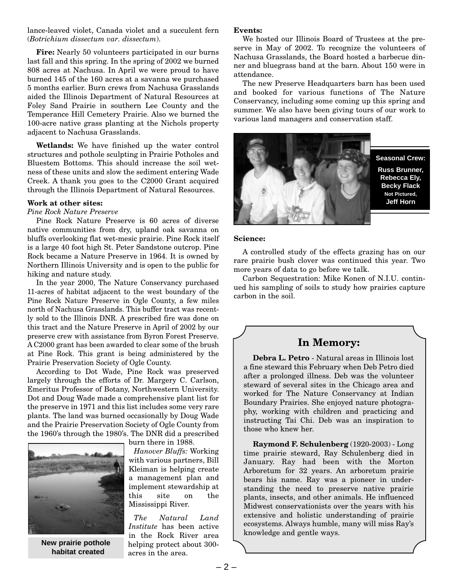lance-leaved violet, Canada violet and a succulent fern (*Botrichium dissectum var. dissectum*).

**Fire:** Nearly 50 volunteers participated in our burns last fall and this spring. In the spring of 2002 we burned 808 acres at Nachusa. In April we were proud to have burned 145 of the 160 acres at a savanna we purchased 5 months earlier. Burn crews from Nachusa Grasslands aided the Illinois Department of Natural Resources at Foley Sand Prairie in southern Lee County and the Temperance Hill Cemetery Prairie. Also we burned the 100-acre native grass planting at the Nichols property adjacent to Nachusa Grasslands.

**Wetlands:** We have finished up the water control structures and pothole sculpting in Prairie Potholes and Bluestem Bottoms. This should increase the soil wetness of these units and slow the sediment entering Wade Creek. A thank you goes to the C2000 Grant acquired through the Illinois Department of Natural Resources.

#### **Work at other sites:**

#### *Pine Rock Nature Preserve*

Pine Rock Nature Preserve is 60 acres of diverse native communities from dry, upland oak savanna on bluffs overlooking flat wet-mesic prairie. Pine Rock itself is a large 40 foot high St. Peter Sandstone outcrop. Pine Rock became a Nature Preserve in 1964. It is owned by Northern Illinois University and is open to the public for hiking and nature study.

In the year 2000, The Nature Conservancy purchased 11-acres of habitat adjacent to the west boundary of the Pine Rock Nature Preserve in Ogle County, a few miles north of Nachusa Grasslands. This buffer tract was recently sold to the Illinois DNR. A prescribed fire was done on this tract and the Nature Preserve in April of 2002 by our preserve crew with assistance from Byron Forest Preserve. A C2000 grant has been awarded to clear some of the brush at Pine Rock. This grant is being administered by the Prairie Preservation Society of Ogle County.

According to Dot Wade, Pine Rock was preserved largely through the efforts of Dr. Margery C. Carlson, Emeritus Professor of Botany, Northwestern University. Dot and Doug Wade made a comprehensive plant list for the preserve in 1971 and this list includes some very rare plants. The land was burned occasionally by Doug Wade and the Prairie Preservation Society of Ogle County from the 1960's through the 1980's. The DNR did a prescribed



**New prairie pothole habitat created**

burn there in 1988.

*Hanover Bluffs:* Working with various partners, Bill Kleiman is helping create a management plan and implement stewardship at this site on the Mississippi River.

*The Natural Land Institute* has been active in the Rock River area helping protect about 300 acres in the area.

#### **Events:**

We hosted our Illinois Board of Trustees at the preserve in May of 2002. To recognize the volunteers of Nachusa Grasslands, the Board hosted a barbecue dinner and bluegrass band at the barn. About 150 were in attendance.

The new Preserve Headquarters barn has been used and booked for various functions of The Nature Conservancy, including some coming up this spring and summer. We also have been giving tours of our work to various land managers and conservation staff.



**Seasonal Crew: Russ Brunner, Rebecca Ely, Becky Flack Not Pictured, Jeff Horn**

#### **Science:**

A controlled study of the effects grazing has on our rare prairie bush clover was continued this year. Two more years of data to go before we talk.

Carbon Sequestration: Mike Konen of N.I.U. continued his sampling of soils to study how prairies capture carbon in the soil.

#### **In Memory:**

**Debra L. Petro** - Natural areas in Illinois lost a fine steward this February when Deb Petro died after a prolonged illness. Deb was the volunteer steward of several sites in the Chicago area and worked for The Nature Conservancy at Indian Boundary Prairies. She enjoyed nature photography, working with children and practicing and instructing Tai Chi. Deb was an inspiration to those who knew her.

**Raymond F. Schulenberg** (1920-2003) - Long time prairie steward, Ray Schulenberg died in January. Ray had been with the Morton Arboretum for 32 years. An arboretum prairie bears his name. Ray was a pioneer in understanding the need to preserve native prairie plants, insects, and other animals. He influenced Midwest conservationists over the years with his extensive and holistic understanding of prairie ecosystems. Always humble, many will miss Ray's knowledge and gentle ways.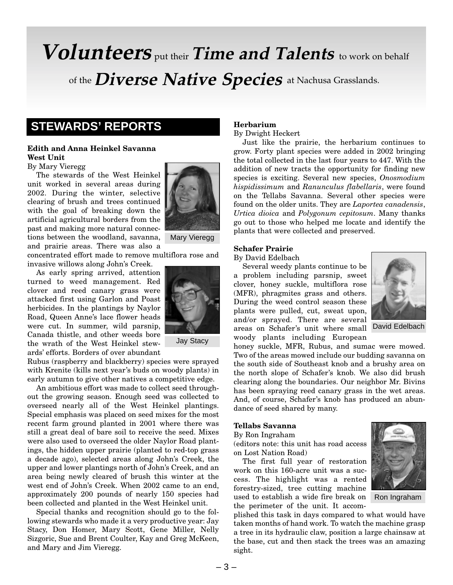# **Volunteers** put their **Time and Talents** to work on behalf of the **Diverse Native Species** at Nachusa Grasslands.

# **STEWARDS' REPORTS**

#### **Edith and Anna Heinkel Savanna West Unit**

By Mary Vieregg

The stewards of the West Heinkel unit worked in several areas during 2002. During the winter, selective clearing of brush and trees continued with the goal of breaking down the artificial agricultural borders from the past and making more natural connections between the woodland, savanna, and prairie areas. There was also a

concentrated effort made to remove multiflora rose and invasive willows along John's Creek.

As early spring arrived, attention turned to weed management. Red clover and reed canary grass were attacked first using Garlon and Poast herbicides. In the plantings by Naylor Road, Queen Anne's lace flower heads were cut. In summer, wild parsnip, Canada thistle, and other weeds bore the wrath of the West Heinkel stewards' efforts. Borders of over abundant



Jay Stacy

Rubus (raspberry and blackberry) species were sprayed with Krenite (kills next year's buds on woody plants) in early autumn to give other natives a competitive edge.

An ambitious effort was made to collect seed throughout the growing season. Enough seed was collected to overseed nearly all of the West Heinkel plantings. Special emphasis was placed on seed mixes for the most recent farm ground planted in 2001 where there was still a great deal of bare soil to receive the seed. Mixes were also used to overseed the older Naylor Road plantings, the hidden upper prairie (planted to red-top grass a decade ago), selected areas along John's Creek, the upper and lower plantings north of John's Creek, and an area being newly cleared of brush this winter at the west end of John's Creek. When 2002 came to an end, approximately 200 pounds of nearly 150 species had been collected and planted in the West Heinkel unit.

Special thanks and recognition should go to the following stewards who made it a very productive year: Jay Stacy, Don Homer, Mary Scott, Gene Miller, Nelly Sizgoric, Sue and Brent Coulter, Kay and Greg McKeen, and Mary and Jim Vieregg.

#### **Herbarium** By Dwight Heckert

Just like the prairie, the herbarium continues to grow. Forty plant species were added in 2002 bringing the total collected in the last four years to 447. With the addition of new tracts the opportunity for finding new species is exciting. Several new species, *Onosmodium hispidissimum* and *Ranunculus flabellaris*, were found on the Tellabs Savanna. Several other species were found on the older units. They are *Laportea canadensis*, *Urtica dioica* and *Polygonum cepitosum*. Many thanks go out to those who helped me locate and identify the plants that were collected and preserved.

#### **Schafer Prairie**

By David Edelbach

Several weedy plants continue to be a problem including parsnip, sweet clover, honey suckle, multiflora rose (MFR), phragmites grass and others. During the weed control season these plants were pulled, cut, sweat upon, and/or sprayed. There are several areas on Schafer's unit where small woody plants including European



honey suckle, MFR, Rubus, and sumac were mowed. Two of the areas mowed include our budding savanna on the south side of Southeast knob and a brushy area on the north slope of Schafer's knob. We also did brush clearing along the boundaries. Our neighbor Mr. Bivins has been spraying reed canary grass in the wet areas. And, of course, Schafer's knob has produced an abundance of seed shared by many.

#### **Tellabs Savanna**

By Ron Ingraham

(editors note: this unit has road access on Lost Nation Road)

The first full year of restoration work on this 160-acre unit was a success. The highlight was a rented forestry-sized, tree cutting machine used to establish a wide fire break on the perimeter of the unit. It accom-

Ron Ingraham

plished this task in days compared to what would have taken months of hand work. To watch the machine grasp a tree in its hydraulic claw, position a large chainsaw at the base, cut and then stack the trees was an amazing sight.

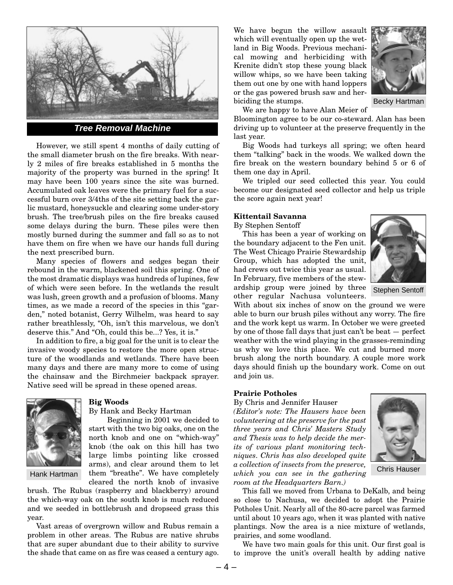

**Tree Removal Machine**

However, we still spent 4 months of daily cutting of the small diameter brush on the fire breaks. With nearly 2 miles of fire breaks established in 5 months the majority of the property was burned in the spring! It may have been 100 years since the site was burned. Accumulated oak leaves were the primary fuel for a successful burn over 3/4ths of the site setting back the garlic mustard, honeysuckle and clearing some under-story brush. The tree/brush piles on the fire breaks caused some delays during the burn. These piles were then mostly burned during the summer and fall so as to not have them on fire when we have our hands full during the next prescribed burn.

Many species of flowers and sedges began their rebound in the warm, blackened soil this spring. One of the most dramatic displays was hundreds of lupines, few of which were seen before. In the wetlands the result was lush, green growth and a profusion of blooms. Many times, as we made a record of the species in this "garden," noted botanist, Gerry Wilhelm, was heard to say rather breathlessly, "Oh, isn't this marvelous, we don't deserve this." And "Oh, could this be...? Yes, it is."

In addition to fire, a big goal for the unit is to clear the invasive woody species to restore the more open structure of the woodlands and wetlands. There have been many days and there are many more to come of using the chainsaw and the Birchmeier backpack sprayer. Native seed will be spread in these opened areas.



Hank Hartman

#### **Big Woods**

By Hank and Becky Hartman

Beginning in 2001 we decided to start with the two big oaks, one on the north knob and one on "which-way" knob (the oak on this hill has two large limbs pointing like crossed arms), and clear around them to let them "breathe". We have completely cleared the north knob of invasive

brush. The Rubus (raspberry and blackberry) around the which-way oak on the south knob is much reduced and we seeded in bottlebrush and dropseed grass this year.

Vast areas of overgrown willow and Rubus remain a problem in other areas. The Rubus are native shrubs that are super abundant due to their ability to survive the shade that came on as fire was ceased a century ago. We have begun the willow assault which will eventually open up the wetland in Big Woods. Previous mechanical mowing and herbiciding with Krenite didn't stop these young black willow whips, so we have been taking them out one by one with hand loppers or the gas powered brush saw and herbiciding the stumps.



Becky Hartman

We are happy to have Alan Meier of

Bloomington agree to be our co-steward. Alan has been driving up to volunteer at the preserve frequently in the last year.

Big Woods had turkeys all spring; we often heard them "talking" back in the woods. We walked down the fire break on the western boundary behind 5 or 6 of them one day in April.

We tripled our seed collected this year. You could become our designated seed collector and help us triple the score again next year!

#### **Kittentail Savanna**

By Stephen Sentoff

This has been a year of working on the boundary adjacent to the Fen unit. The West Chicago Prairie Stewardship Group, which has adopted the unit, had crews out twice this year as usual. In February, five members of the stewardship group were joined by three other regular Nachusa volunteers.



Stephen Sentoff

With about six inches of snow on the ground we were able to burn our brush piles without any worry. The fire and the work kept us warm. In October we were greeted by one of those fall days that just can't be beat — perfect weather with the wind playing in the grasses-reminding us why we love this place. We cut and burned more brush along the north boundary. A couple more work days should finish up the boundary work. Come on out and join us.

#### **Prairie Potholes**

By Chris and Jennifer Hauser

*(Editor's note: The Hausers have been volunteering at the preserve for the past three years and Chris' Masters Study and Thesis was to help decide the merits of various plant monitoring techniques. Chris has also developed quite a collection of insects from the preserve, which you can see in the gathering room at the Headquarters Barn.)*



Chris Hauser

This fall we moved from Urbana to DeKalb, and being so close to Nachusa, we decided to adopt the Prairie Potholes Unit. Nearly all of the 80-acre parcel was farmed until about 10 years ago, when it was planted with native plantings. Now the area is a nice mixture of wetlands, prairies, and some woodland.

We have two main goals for this unit. Our first goal is to improve the unit's overall health by adding native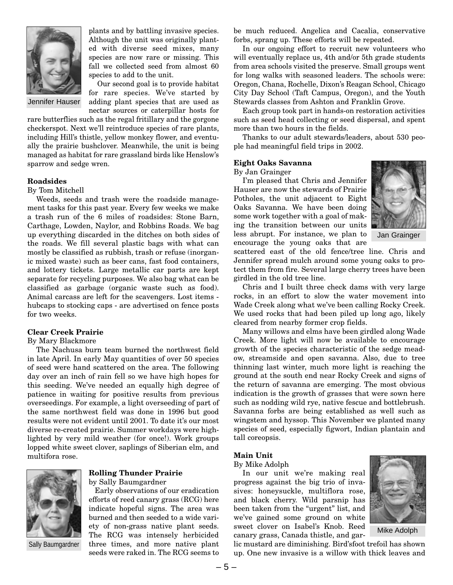

plants and by battling invasive species. Although the unit was originally planted with diverse seed mixes, many species are now rare or missing. This fall we collected seed from almost 60 species to add to the unit.

Jennifer Hauser

Our second goal is to provide habitat for rare species. We've started by adding plant species that are used as nectar sources or caterpillar hosts for

rare butterflies such as the regal fritillary and the gorgone checkerspot. Next we'll reintroduce species of rare plants, including Hill's thistle, yellow monkey flower, and eventually the prairie bushclover. Meanwhile, the unit is being managed as habitat for rare grassland birds like Henslow's sparrow and sedge wren.

#### **Roadsides**

By Tom Mitchell

Weeds, seeds and trash were the roadside management tasks for this past year. Every few weeks we make a trash run of the 6 miles of roadsides: Stone Barn, Carthage, Lowden, Naylor, and Robbins Roads. We bag up everything discarded in the ditches on both sides of the roads. We fill several plastic bags with what can mostly be classified as rubbish, trash or refuse (inorganic mixed waste) such as beer cans, fast food containers, and lottery tickets. Large metallic car parts are kept separate for recycling purposes. We also bag what can be classified as garbage (organic waste such as food). Animal carcass are left for the scavengers. Lost items hubcaps to stocking caps - are advertised on fence posts for two weeks.

#### **Clear Creek Prairie**

#### By Mary Blackmore

The Nachusa burn team burned the northwest field in late April. In early May quantities of over 50 species of seed were hand scattered on the area. The following day over an inch of rain fell so we have high hopes for this seeding. We've needed an equally high degree of patience in waiting for positive results from previous overseedings. For example, a light overseeding of part of the same northwest field was done in 1996 but good results were not evident until 2001. To date it's our most diverse re-created prairie. Summer workdays were highlighted by very mild weather (for once!). Work groups lopped white sweet clover, saplings of Siberian elm, and multifora rose.



Sally Baumgardner

### **Rolling Thunder Prairie**

by Sally Baumgardner

Early observations of our eradication efforts of reed canary grass (RCG) here indicate hopeful signs. The area was burned and then seeded to a wide variety of non-grass native plant seeds. The RCG was intensely herbicided three times, and more native plant seeds were raked in. The RCG seems to

be much reduced. Angelica and Cacalia, conservative forbs, sprang up. These efforts will be repeated.

In our ongoing effort to recruit new volunteers who will eventually replace us, 4th and/or 5th grade students from area schools visited the preserve. Small groups went for long walks with seasoned leaders. The schools were: Oregon, Chana, Rochelle, Dixon's Reagan School, Chicago City Day School (Taft Campus, Oregon), and the Youth Stewards classes from Ashton and Franklin Grove.

Each group took part in hands-on restoration activities such as seed head collecting or seed dispersal, and spent more than two hours in the fields.

Thanks to our adult stewards/leaders, about 530 people had meaningful field trips in 2002.

#### **Eight Oaks Savanna**

By Jan Grainger

I'm pleased that Chris and Jennifer Hauser are now the stewards of Prairie Potholes, the unit adjacent to Eight Oaks Savanna. We have been doing some work together with a goal of making the transition between our units less abrupt. For instance, we plan to encourage the young oaks that are



Jan Grainger

scattered east of the old fence/tree line. Chris and Jennifer spread mulch around some young oaks to protect them from fire. Several large cherry trees have been girdled in the old tree line.

Chris and I built three check dams with very large rocks, in an effort to slow the water movement into Wade Creek along what we've been calling Rocky Creek. We used rocks that had been piled up long ago, likely cleared from nearby former crop fields.

Many willows and elms have been girdled along Wade Creek. More light will now be available to encourage growth of the species characteristic of the sedge meadow, streamside and open savanna. Also, due to tree thinning last winter, much more light is reaching the ground at the south end near Rocky Creek and signs of the return of savanna are emerging. The most obvious indication is the growth of grasses that were sown here such as nodding wild rye, native fescue and bottlebrush. Savanna forbs are being established as well such as wingstem and hyssop. This November we planted many species of seed, especially figwort, Indian plantain and tall coreopsis.

#### **Main Unit**

By Mike Adolph

In our unit we're making real progress against the big trio of invasives: honeysuckle, multiflora rose, and black cherry. Wild parsnip has been taken from the "urgent" list, and we've gained some ground on white sweet clover on Isabel's Knob. Reed canary grass, Canada thistle, and gar-



Mike Adolph

lic mustard are diminishing. Bird'sfoot trefoil has shown up. One new invasive is a willow with thick leaves and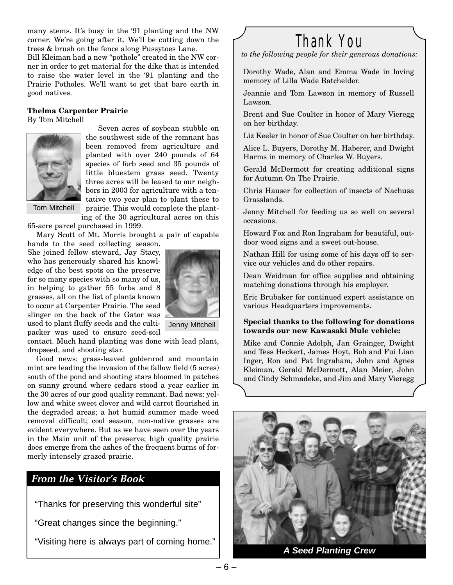many stems. It's busy in the '91 planting and the NW corner. We're going after it. We'll be cutting down the trees & brush on the fence along Pussytoes Lane.

Bill Kleiman had a new "pothole" created in the NW corner in order to get material for the dike that is intended to raise the water level in the '91 planting and the Prairie Potholes. We'll want to get that bare earth in good natives.

### **Thelma Carpenter Prairie**

By Tom Mitchell



Seven acres of soybean stubble on the southwest side of the remnant has been removed from agriculture and planted with over 240 pounds of 64 species of forb seed and 35 pounds of little bluestem grass seed. Twenty three acres will be leased to our neighbors in 2003 for agriculture with a tentative two year plan to plant these to prairie. This would complete the plant-

Tom Mitchell

ing of the 30 agricultural acres on this 65-acre parcel purchased in 1999.

Mary Scott of Mt. Morris brought a pair of capable hands to the seed collecting season.

She joined fellow steward, Jay Stacy, who has generously shared his knowledge of the best spots on the preserve for so many species with so many of us, in helping to gather 55 forbs and 8 grasses, all on the list of plants known to occur at Carpenter Prairie. The seed slinger on the back of the Gator was used to plant fluffy seeds and the cultipacker was used to ensure seed-soil



Jenny Mitchell

contact. Much hand planting was done with lead plant, dropseed, and shooting star.

Good news: grass-leaved goldenrod and mountain mint are leading the invasion of the fallow field (5 acres) south of the pond and shooting stars bloomed in patches on sunny ground where cedars stood a year earlier in the 30 acres of our good quality remnant. Bad news: yellow and white sweet clover and wild carrot flourished in the degraded areas; a hot humid summer made weed removal difficult; cool season, non-native grasses are evident everywhere. But as we have seen over the years in the Main unit of the preserve; high quality prairie does emerge from the ashes of the frequent burns of formerly intensely grazed prairie.

## **From the Visitor's Book**

"Thanks for preserving this wonderful site"

"Great changes since the beginning."

"Visiting here is always part of coming home."

# Thank You

*to the following people for their generous donations:*

Dorothy Wade, Alan and Emma Wade in loving memory of Lilla Wade Batchelder.

Jeannie and Tom Lawson in memory of Russell Lawson.

Brent and Sue Coulter in honor of Mary Vieregg on her birthday.

Liz Keeler in honor of Sue Coulter on her birthday.

Alice L. Buyers, Dorothy M. Haberer, and Dwight Harms in memory of Charles W. Buyers.

Gerald McDermott for creating additional signs for Autumn On The Prairie.

Chris Hauser for collection of insects of Nachusa Grasslands.

Jenny Mitchell for feeding us so well on several occasions.

Howard Fox and Ron Ingraham for beautiful, outdoor wood signs and a sweet out-house.

Nathan Hill for using some of his days off to service our vehicles and do other repairs.

Dean Weidman for office supplies and obtaining matching donations through his employer.

Eric Brubaker for continued expert assistance on various Headquarters improvements.

#### **Special thanks to the following for donations towards our new Kawasaki Mule vehicle:**

Mike and Connie Adolph, Jan Grainger, Dwight and Tess Heckert, James Hoyt, Bob and Fui Lian Inger, Ron and Pat Ingraham, John and Agnes Kleiman, Gerald McDermott, Alan Meier, John and Cindy Schmadeke, and Jim and Mary Vieregg



**A Seed Planting Crew**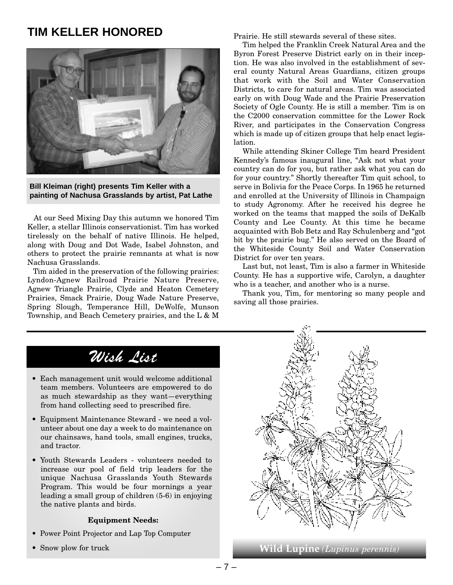# **TIM KELLER HONORED**



**Bill Kleiman (right) presents Tim Keller with a painting of Nachusa Grasslands by artist, Pat Lathe**

At our Seed Mixing Day this autumn we honored Tim Keller, a stellar Illinois conservationist. Tim has worked tirelessly on the behalf of native Illinois. He helped, along with Doug and Dot Wade, Isabel Johnston, and others to protect the prairie remnants at what is now Nachusa Grasslands.

Tim aided in the preservation of the following prairies: Lyndon-Agnew Railroad Prairie Nature Preserve, Agnew Triangle Prairie, Clyde and Heaton Cemetery Prairies, Smack Prairie, Doug Wade Nature Preserve, Spring Slough, Temperance Hill, DeWolfe, Munson Township, and Beach Cemetery prairies, and the L & M Prairie. He still stewards several of these sites.

Tim helped the Franklin Creek Natural Area and the Byron Forest Preserve District early on in their inception. He was also involved in the establishment of several county Natural Areas Guardians, citizen groups that work with the Soil and Water Conservation Districts, to care for natural areas. Tim was associated early on with Doug Wade and the Prairie Preservation Society of Ogle County. He is still a member. Tim is on the C2000 conservation committee for the Lower Rock River, and participates in the Conservation Congress which is made up of citizen groups that help enact legislation.

While attending Skiner College Tim heard President Kennedy's famous inaugural line, "Ask not what your country can do for you, but rather ask what you can do for your country." Shortly thereafter Tim quit school, to serve in Bolivia for the Peace Corps. In 1965 he returned and enrolled at the University of Illinois in Champaign to study Agronomy. After he received his degree he worked on the teams that mapped the soils of DeKalb County and Lee County. At this time he became acquainted with Bob Betz and Ray Schulenberg and "got bit by the prairie bug." He also served on the Board of the Whiteside County Soil and Water Conservation District for over ten years.

Last but, not least, Tim is also a farmer in Whiteside County. He has a supportive wife, Carolyn, a daughter who is a teacher, and another who is a nurse.

Thank you, Tim, for mentoring so many people and saving all those prairies.

# Wish List

- Each management unit would welcome additional team members. Volunteers are empowered to do as much stewardship as they want—everything from hand collecting seed to prescribed fire.
- Equipment Maintenance Steward we need a volunteer about one day a week to do maintenance on our chainsaws, hand tools, small engines, trucks, and tractor.
- Youth Stewards Leaders volunteers needed to increase our pool of field trip leaders for the unique Nachusa Grasslands Youth Stewards Program. This would be four mornings a year leading a small group of children (5-6) in enjoying the native plants and birds.

#### **Equipment Needs:**

- Power Point Projector and Lap Top Computer
- 



• Snow plow for truck **Wild Lupine** *(Lupinus perennis)*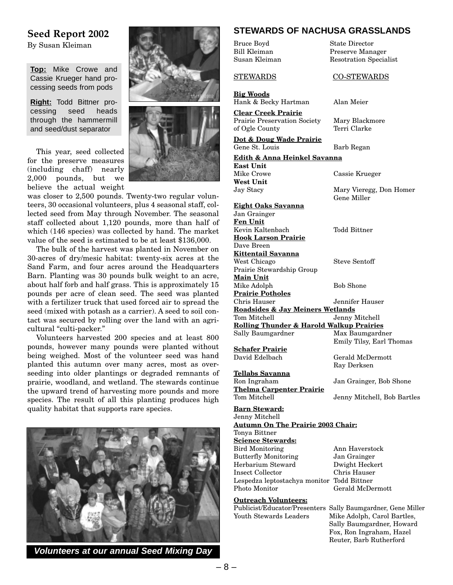### **Seed Report 2002**

By Susan Kleiman

**Top:** Mike Crowe and Cassie Krueger hand processing seeds from pods

**Right:** Todd Bittner processing seed heads through the hammermill and seed/dust separator

This year, seed collected for the preserve measures (including chaff) nearly 2,000 pounds, but we believe the actual weight





was closer to 2,500 pounds. Twenty-two regular volunteers, 30 occasional volunteers, plus 4 seasonal staff, collected seed from May through November. The seasonal staff collected about 1,120 pounds, more than half of which (146 species) was collected by hand. The market value of the seed is estimated to be at least \$136,000.

The bulk of the harvest was planted in November on 30-acres of dry/mesic habitat: twenty-six acres at the Sand Farm, and four acres around the Headquarters Barn. Planting was 30 pounds bulk weight to an acre, about half forb and half grass. This is approximately 15 pounds per acre of clean seed. The seed was planted with a fertilizer truck that used forced air to spread the seed (mixed with potash as a carrier). A seed to soil contact was secured by rolling over the land with an agricultural "culti-packer."

Volunteers harvested 200 species and at least 800 pounds, however many pounds were planted without being weighed. Most of the volunteer seed was hand planted this autumn over many acres, most as overseeding into older plantings or degraded remnants of prairie, woodland, and wetland. The stewards continue the upward trend of harvesting more pounds and more species. The result of all this planting produces high quality habitat that supports rare species.



**Volunteers at our annual Seed Mixing Day**

#### **STEWARDS OF NACHUSA GRASSLANDS**

Bruce Boyd State Director Bill Kleiman Preserve Manager STEWARDS CO-STEWARDS **Big Woods** Hank & Becky Hartman Alan Meier **Clear Creek Prairie** Prairie Preservation Society Mary Blackmore

of Ogle County Terri Clarke **Dot & Doug Wade Prairie**

**Edith & Anna Heinkel Savanna East Unit** Mike Crowe Cassie Krueger **West Unit** Jay Stacy Mary Vieregg, Don Homer

**Eight Oaks Savanna** Jan Grainger **Fen Unit** Kevin Kaltenbach Todd Bittner **Hook Larson Prairie** Dave Breen **Kittentail Savanna** West Chicago Steve Sentoff Prairie Stewardship Group **Main Unit** Mike Adolph Bob Shone **Prairie Potholes** Chris Hauser Jennifer Hauser **Roadsides & Jay Meiners Wetlands** Tom Mitchell Jenny Mitchell **Rolling Thunder & Harold Walkup Prairies** Sally Baumgardner Max Baumgardner

**Schafer Prairie**<br>David Edelbach

**Tellabs Savanna** Ron Ingraham Jan Grainger, Bob Shone **Thelma Carpenter Prairie** Tom Mitchell Jenny Mitchell, Bob Bartles

#### **Barn Steward:**

Jenny Mitchell **Autumn On The Prairie 2003 Chair:**

**Science Stewards:** Bird Monitoring Ann Haverstock Butterfly Monitoring Jan Grainger Herbarium Steward Dwight Heckert Insect Collector Lespedza leptostachya monitor Todd Bittner Photo Monitor Gerald McDermott

#### **Outreach Volunteers:**

Susan Kleiman Resotration Specialist

Gene St. Louis Barb Regan

Gene Miller

Emily Tilsy, Earl Thomas

Gerald McDermott Ray Derksen

Tonya Bittner

Publicist/Educator/Presenters Sally Baumgardner, Gene Miller Youth Stewards Leaders Mike Adolph, Carol Bartles, Sally Baumgardner, Howard Fox, Ron Ingraham, Hazel Reuter, Barb Rutherford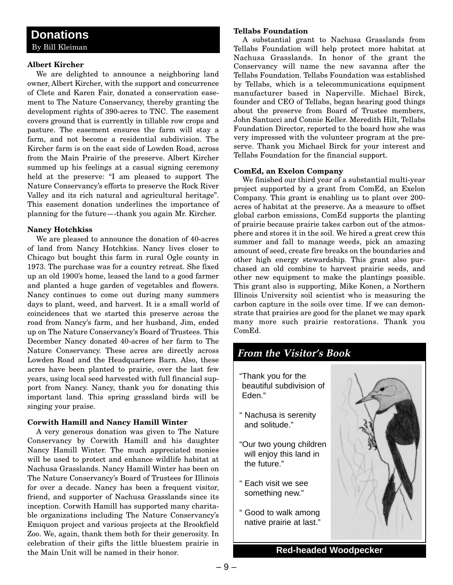#### **Albert Kircher**

We are delighted to announce a neighboring land owner, Albert Kircher, with the support and concurrence of Clete and Karen Fair, donated a conservation easement to The Nature Conservancy, thereby granting the development rights of 390-acres to TNC. The easement covers ground that is currently in tillable row crops and pasture. The easement ensures the farm will stay a farm, and not become a residential subdivision. The Kircher farm is on the east side of Lowden Road, across from the Main Prairie of the preserve. Albert Kircher summed up his feelings at a casual signing ceremony held at the preserve: "I am pleased to support The Nature Conservancy's efforts to preserve the Rock River Valley and its rich natural and agricultural heritage". This easement donation underlines the importance of planning for the future—-thank you again Mr. Kircher.

#### **Nancy Hotchkiss**

We are pleased to announce the donation of 40-acres of land from Nancy Hotchkiss. Nancy lives closer to Chicago but bought this farm in rural Ogle county in 1973. The purchase was for a country retreat. She fixed up an old 1900's home, leased the land to a good farmer and planted a huge garden of vegetables and flowers. Nancy continues to come out during many summers days to plant, weed, and harvest. It is a small world of coincidences that we started this preserve across the road from Nancy's farm, and her husband, Jim, ended up on The Nature Conservancy's Board of Trustees. This December Nancy donated 40-acres of her farm to The Nature Conservancy. These acres are directly across Lowden Road and the Headquarters Barn. Also, these acres have been planted to prairie, over the last few years, using local seed harvested with full financial support from Nancy. Nancy, thank you for donating this important land. This spring grassland birds will be singing your praise.

#### **Corwith Hamill and Nancy Hamill Winter**

A very generous donation was given to The Nature Conservancy by Corwith Hamill and his daughter Nancy Hamill Winter. The much appreciated monies will be used to protect and enhance wildlife habitat at Nachusa Grasslands. Nancy Hamill Winter has been on The Nature Conservancy's Board of Trustees for Illinois for over a decade. Nancy has been a frequent visitor, friend, and supporter of Nachusa Grasslands since its inception. Corwith Hamill has supported many charitable organizations including The Nature Conservancy's Emiquon project and various projects at the Brookfield Zoo. We, again, thank them both for their generosity. In celebration of their gifts the little bluestem prairie in the Main Unit will be named in their honor.

#### **Tellabs Foundation**

A substantial grant to Nachusa Grasslands from Tellabs Foundation will help protect more habitat at Nachusa Grasslands. In honor of the grant the Conservancy will name the new savanna after the Tellabs Foundation. Tellabs Foundation was established by Tellabs, which is a telecommunications equipment manufacturer based in Naperville. Michael Birck, founder and CEO of Tellabs, began hearing good things about the preserve from Board of Trustee members, John Santucci and Connie Keller. Meredith Hilt, Tellabs Foundation Director, reported to the board how she was very impressed with the volunteer program at the preserve. Thank you Michael Birck for your interest and Tellabs Foundation for the financial support.

#### **ComEd, an Exelon Company**

We finished our third year of a substantial multi-year project supported by a grant from ComEd, an Exelon Company. This grant is enabling us to plant over 200 acres of habitat at the preserve. As a measure to offset global carbon emissions, ComEd supports the planting of prairie because prairie takes carbon out of the atmosphere and stores it in the soil. We hired a great crew this summer and fall to manage weeds, pick an amazing amount of seed, create fire breaks on the boundaries and other high energy stewardship. This grant also purchased an old combine to harvest prairie seeds, and other new equipment to make the plantings possible. This grant also is supporting, Mike Konen, a Northern Illinois University soil scientist who is measuring the carbon capture in the soils over time. If we can demonstrate that prairies are good for the planet we may spark many more such prairie restorations. Thank you ComEd.

# **From the Visitor's Book** "Thank you for the beautiful subdivision of Eden." " Nachusa is serenity and solitude." "Our two young children will enjoy this land in the future." Each visit we see something new."

" Good to walk among native prairie at last."



**Red-headed Woodpecker**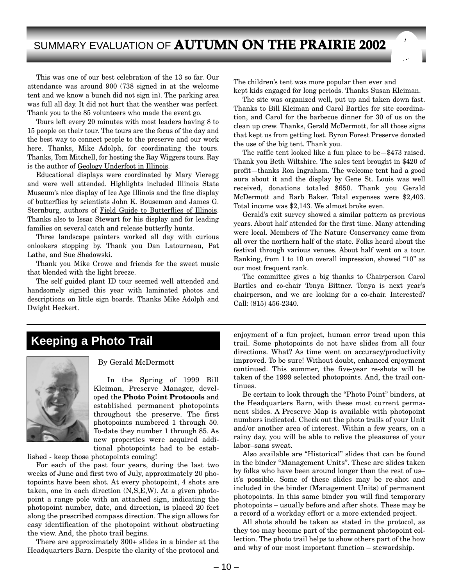# SUMMARY EVALUATION OF **AUTUMN ON THE PRAIRIE 2002**

This was one of our best celebration of the 13 so far. Our attendance was around 900 (738 signed in at the welcome tent and we know a bunch did not sign in). The parking area was full all day. It did not hurt that the weather was perfect. Thank you to the 85 volunteers who made the event go.

Tours left every 20 minutes with most leaders having 8 to 15 people on their tour. The tours are the focus of the day and the best way to connect people to the preserve and our work here. Thanks, Mike Adolph, for coordinating the tours. Thanks, Tom Mitchell, for hosting the Ray Wiggers tours. Ray is the author of Geology Underfoot in Illinois.

Educational displays were coordinated by Mary Vieregg and were well attended. Highlights included Illinois State Museum's nice display of Ice Age Illinois and the fine display of butterflies by scientists John K. Bouseman and James G. Sternburg, authors of Field Guide to Butterflies of Illinois. Thanks also to Issac Stewart for his display and for leading families on several catch and release butterfly hunts.

Three landscape painters worked all day with curious onlookers stopping by. Thank you Dan Latourneau, Pat Lathe, and Sue Shedowski.

Thank you Mike Crowe and friends for the sweet music that blended with the light breeze.

The self guided plant ID tour seemed well attended and handsomely signed this year with laminated photos and descriptions on little sign boards. Thanks Mike Adolph and Dwight Heckert.

The children's tent was more popular then ever and kept kids engaged for long periods. Thanks Susan Kleiman.

The site was organized well, put up and taken down fast. Thanks to Bill Kleiman and Carol Bartles for site coordination, and Carol for the barbecue dinner for 30 of us on the clean up crew. Thanks, Gerald McDermott, for all those signs that kept us from getting lost. Byron Forest Preserve donated the use of the big tent. Thank you.

The raffle tent looked like a fun place to be—\$473 raised. Thank you Beth Wiltshire. The sales tent brought in \$420 of profit—thanks Ron Ingraham. The welcome tent had a good aura about it and the display by Gene St. Louis was well received, donations totaled \$650. Thank you Gerald McDermott and Barb Baker. Total expenses were \$2,403. Total income was \$2,143. We almost broke even.

Gerald's exit survey showed a similar pattern as previous years. About half attended for the first time. Many attending were local. Members of The Nature Conservancy came from all over the northern half of the state. Folks heard about the festival through various venues. About half went on a tour. Ranking, from 1 to 10 on overall impression, showed "10" as our most frequent rank.

The committee gives a big thanks to Chairperson Carol Bartles and co-chair Tonya Bittner. Tonya is next year's chairperson, and we are looking for a co-chair. Interested? Call: (815) 456-2340.

# **Keeping a Photo Trail**



#### By Gerald McDermott

In the Spring of 1999 Bill Kleiman, Preserve Manager, developed the **Photo Point Protocols** and established permanent photopoints throughout the preserve. The first photopoints numbered 1 through 50. To-date they number 1 through 85. As new properties were acquired additional photopoints had to be estab-

lished - keep those photopoints coming!

For each of the past four years, during the last two weeks of June and first two of July, approximately 20 photopoints have been shot. At every photopoint, 4 shots are taken, one in each direction (N,S,E,W). At a given photopoint a range pole with an attached sign, indicating the photopoint number, date, and direction, is placed 20 feet along the prescribed compass direction. The sign allows for easy identification of the photopoint without obstructing the view. And, the photo trail begins.

There are approximately 300+ slides in a binder at the Headquarters Barn. Despite the clarity of the protocol and enjoyment of a fun project, human error tread upon this trail. Some photopoints do not have slides from all four directions. What? As time went on accuracy/productivity improved. To be sure! Without doubt, enhanced enjoyment continued. This summer, the five-year re-shots will be taken of the 1999 selected photopoints. And, the trail continues.

Be certain to look through the "Photo Point" binders, at the Headquarters Barn, with these most current permanent slides. A Preserve Map is available with photopoint numbers indicated. Check out the photo trails of your Unit and/or another area of interest. Within a few years, on a rainy day, you will be able to relive the pleasures of your labor–sans sweat.

Also available are "Historical" slides that can be found in the binder "Management Units". These are slides taken by folks who have been around longer than the rest of us– it's possible. Some of these slides may be re-shot and included in the binder (Management Units) of permanent photopoints. In this same binder you will find temporary photopoints – usually before and after shots. These may be a record of a workday effort or a more extended project.

All shots should be taken as stated in the protocol, as they too may become part of the permanent photopoint collection. The photo trail helps to show others part of the how and why of our most important function – stewardship.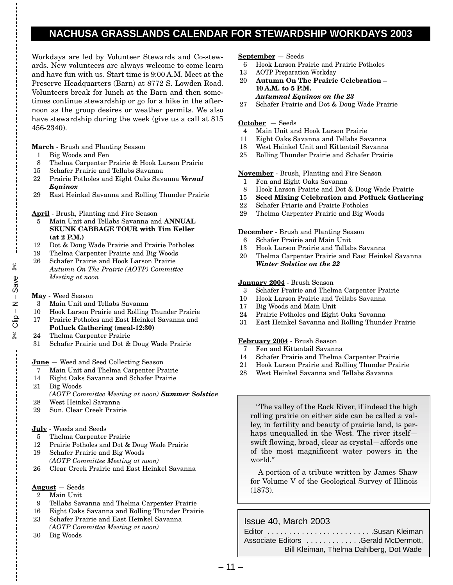### **NACHUSA GRASSLANDS CALENDAR FOR STEWARDSHIP WORKDAYS 2003**

Workdays are led by Volunteer Stewards and Co-stewards. New volunteers are always welcome to come learn and have fun with us. Start time is 9:00 A.M. Meet at the Preserve Headquarters (Barn) at 8772 S. Lowden Road. Volunteers break for lunch at the Barn and then sometimes continue stewardship or go for a hike in the afternoon as the group desires or weather permits. We also have stewardship during the week (give us a call at 815 456-2340).

#### **March** - Brush and Planting Season

- 1 Big Woods and Fen
- 8 Thelma Carpenter Prairie & Hook Larson Prairie
- 15 Schafer Prairie and Tellabs Savanna
- 22 Prairie Potholes and Eight Oaks Savanna *Vernal Equinox*
- 29 East Heinkel Savanna and Rolling Thunder Prairie

#### **April** - Brush, Planting and Fire Season

- 5 Main Unit and Tellabs Savanna and **ANNUAL SKUNK CABBAGE TOUR with Tim Keller (at 2 P.M.)**
- 12 Dot & Doug Wade Prairie and Prairie Potholes
- 19 Thelma Carpenter Prairie and Big Woods 26 Schafer Prairie and Hook Larson Prairie *Autumn On The Prairie (AOTP) Committee Meeting at noon*

#### **May** - Weed Season

 $\approx$  Clip – N – Save exeS – N – d!iO ※

 $^\circ$ 

- 3 Main Unit and Tellabs Savanna
- 10 Hook Larson Prairie and Rolling Thunder Prairie
- 17 Prairie Potholes and East Heinkel Savanna and **Potluck Gathering (meal-12:30)**
- 24 Thelma Carpenter Prairie
- 31 Schafer Prairie and Dot & Doug Wade Prairie

#### **June** — Weed and Seed Collecting Season

- 7 Main Unit and Thelma Carpenter Prairie
- 14 Eight Oaks Savanna and Schafer Prairie
- 21 Big Woods
- *(AOTP Committee Meeting at noon) Summer Solstice* 28 West Heinkel Savanna
- 29 Sun. Clear Creek Prairie

#### **July** - Weeds and Seeds

- 5 Thelma Carpenter Prairie
- 12 Prairie Potholes and Dot & Doug Wade Prairie
- 19 Schafer Prairie and Big Woods *(AOTP Committee Meeting at noon)*
- 26 Clear Creek Prairie and East Heinkel Savanna

#### **August** — Seeds

- 2 Main Unit
- 9 Tellabs Savanna and Thelma Carpenter Prairie
- 16 Eight Oaks Savanna and Rolling Thunder Prairie
- 23 Schafer Prairie and East Heinkel Savanna
- *(AOTP Committee Meeting at noon)*
- 30 Big Woods

#### **September** — Seeds

- 6 Hook Larson Prairie and Prairie Potholes
- 13 AOTP Preparation Workday
- 20 **Autumn On The Prairie Celebration – 10 A.M. to 5 P.M.** *Autumnal Equinox on the 23*
- 27 Schafer Prairie and Dot & Doug Wade Prairie

#### **October** — Seeds

- 4 Main Unit and Hook Larson Prairie
- 11 Eight Oaks Savanna and Tellabs Savanna
- 18 West Heinkel Unit and Kittentail Savanna
- 25 Rolling Thunder Prairie and Schafer Prairie

#### **November** - Brush, Planting and Fire Season

- 1 Fen and Eight Oaks Savanna
- 8 Hook Larson Prairie and Dot & Doug Wade Prairie
- 15 **Seed Mixing Celebration and Potluck Gathering**
- 22 Schafer Priarie and Prairie Potholes
- 29 Thelma Carpenter Prairie and Big Woods

#### **December** - Brush and Planting Season

- 6 Schafer Prairie and Main Unit
- 13 Hook Larson Prairie and Tellabs Savanna
- 20 Thelma Carpenter Prairie and East Heinkel Savanna *Winter Solstice on the 22*

#### **January 2004** - Brush Season

- 3 Schafer Prairie and Thelma Carpenter Prairie
- 10 Hook Larson Prairie and Tellabs Savanna
- 17 Big Woods and Main Unit
- 24 Prairie Potholes and Eight Oaks Savanna
- 31 East Heinkel Savanna and Rolling Thunder Prairie

#### **February 2004** - Brush Season

- 7 Fen and Kittentail Savanna
- 14 Schafer Prairie and Thelma Carpenter Prairie
- 21 Hook Larson Prairie and Rolling Thunder Prairie
- 28 West Heinkel Savanna and Tellabs Savanna

"The valley of the Rock River, if indeed the high rolling prairie on either side can be called a valley, in fertility and beauty of prairie land, is perhaps unequalled in the West. The river itself swift flowing, broad, clear as crystal—affords one of the most magnificent water powers in the world."

A portion of a tribute written by James Shaw for Volume V of the Geological Survey of Illinois (1873).

#### Issue 40, March 2003

| Editor Susan Kleiman                    |
|-----------------------------------------|
| Associate Editors Gerald McDermott,     |
| Bill Kleiman, Thelma Dahlberg, Dot Wade |